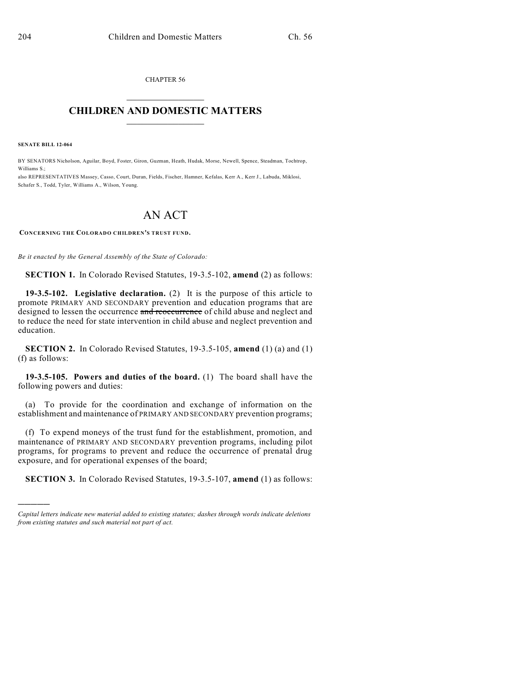CHAPTER 56  $\mathcal{L}_\text{max}$  . The set of the set of the set of the set of the set of the set of the set of the set of the set of the set of the set of the set of the set of the set of the set of the set of the set of the set of the set

## **CHILDREN AND DOMESTIC MATTERS**  $\_$

**SENATE BILL 12-064**

)))))

BY SENATORS Nicholson, Aguilar, Boyd, Foster, Giron, Guzman, Heath, Hudak, Morse, Newell, Spence, Steadman, Tochtrop, Williams S.;

also REPRESENTATIVES Massey, Casso, Court, Duran, Fields, Fischer, Hamner, Kefalas, Kerr A., Kerr J., Labuda, Miklosi, Schafer S., Todd, Tyler, Williams A., Wilson, Young.

## AN ACT

**CONCERNING THE COLORADO CHILDREN'S TRUST FUND.**

*Be it enacted by the General Assembly of the State of Colorado:*

**SECTION 1.** In Colorado Revised Statutes, 19-3.5-102, **amend** (2) as follows:

**19-3.5-102. Legislative declaration.** (2) It is the purpose of this article to promote PRIMARY AND SECONDARY prevention and education programs that are designed to lessen the occurrence and reoccurrence of child abuse and neglect and to reduce the need for state intervention in child abuse and neglect prevention and education.

**SECTION 2.** In Colorado Revised Statutes, 19-3.5-105, **amend** (1) (a) and (1) (f) as follows:

**19-3.5-105. Powers and duties of the board.** (1) The board shall have the following powers and duties:

(a) To provide for the coordination and exchange of information on the establishment and maintenance of PRIMARY AND SECONDARY prevention programs;

(f) To expend moneys of the trust fund for the establishment, promotion, and maintenance of PRIMARY AND SECONDARY prevention programs, including pilot programs, for programs to prevent and reduce the occurrence of prenatal drug exposure, and for operational expenses of the board;

**SECTION 3.** In Colorado Revised Statutes, 19-3.5-107, **amend** (1) as follows:

*Capital letters indicate new material added to existing statutes; dashes through words indicate deletions from existing statutes and such material not part of act.*